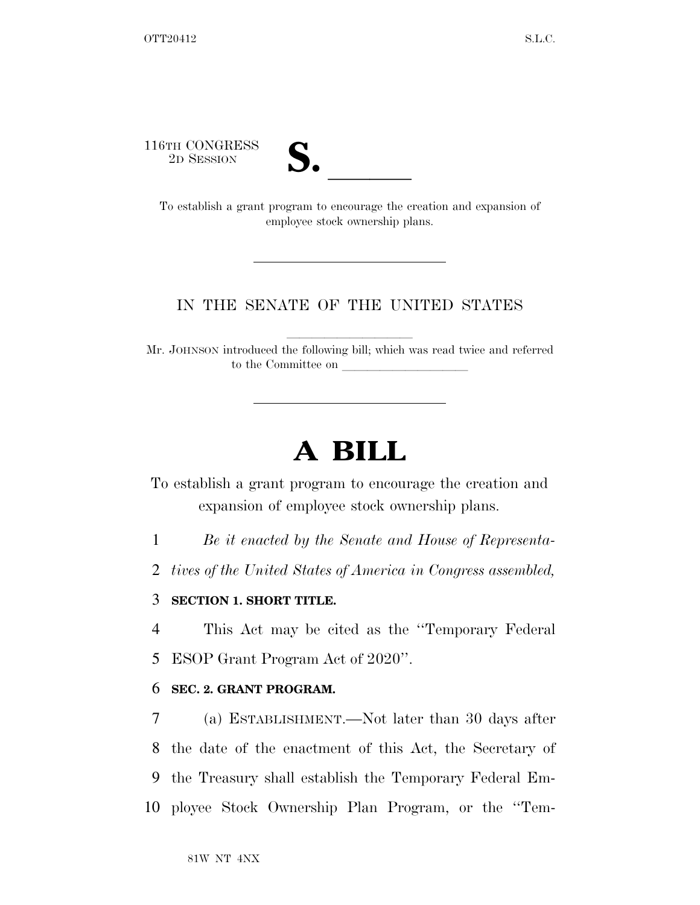116TH CONGRESS



TH CONGRESS<br>
2D SESSION<br>
To establish a grant program to encourage the creation and expansion of employee stock ownership plans.

## IN THE SENATE OF THE UNITED STATES

Mr. JOHNSON introduced the following bill; which was read twice and referred to the Committee on

## **A BILL**

To establish a grant program to encourage the creation and expansion of employee stock ownership plans.

1 *Be it enacted by the Senate and House of Representa-*

2 *tives of the United States of America in Congress assembled,* 

## 3 **SECTION 1. SHORT TITLE.**

4 This Act may be cited as the ''Temporary Federal 5 ESOP Grant Program Act of 2020''.

## 6 **SEC. 2. GRANT PROGRAM.**

 (a) ESTABLISHMENT.—Not later than 30 days after the date of the enactment of this Act, the Secretary of the Treasury shall establish the Temporary Federal Em-ployee Stock Ownership Plan Program, or the ''Tem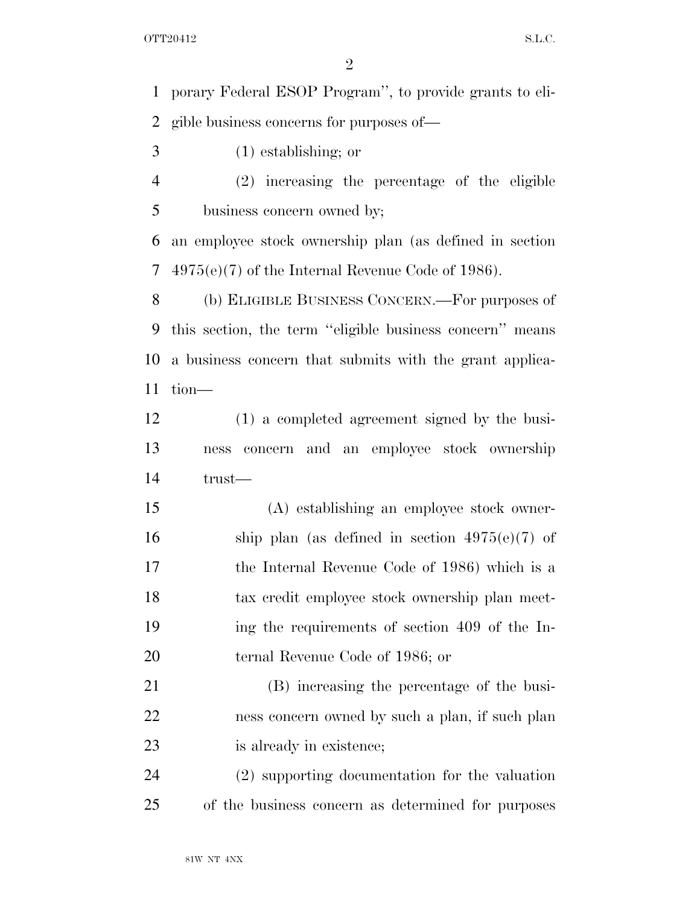porary Federal ESOP Program'', to provide grants to eli-gible business concerns for purposes of—

- (1) establishing; or
- (2) increasing the percentage of the eligible business concern owned by;

 an employee stock ownership plan (as defined in section 4975(e)(7) of the Internal Revenue Code of 1986).

 (b) ELIGIBLE BUSINESS CONCERN.—For purposes of this section, the term ''eligible business concern'' means a business concern that submits with the grant applica-tion—

 (1) a completed agreement signed by the busi- ness concern and an employee stock ownership trust—

 (A) establishing an employee stock owner-16 ship plan (as defined in section  $4975(e)(7)$  of the Internal Revenue Code of 1986) which is a tax credit employee stock ownership plan meet- ing the requirements of section 409 of the In-ternal Revenue Code of 1986; or

 (B) increasing the percentage of the busi- ness concern owned by such a plan, if such plan 23 is already in existence;

 (2) supporting documentation for the valuation of the business concern as determined for purposes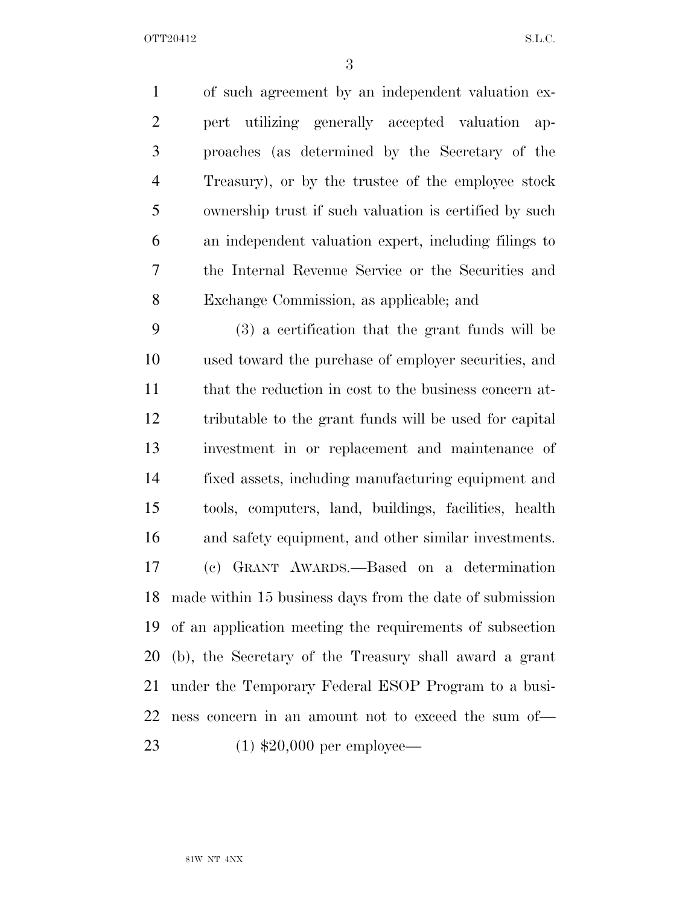OTT20412 S.L.C.

 of such agreement by an independent valuation ex- pert utilizing generally accepted valuation ap- proaches (as determined by the Secretary of the Treasury), or by the trustee of the employee stock ownership trust if such valuation is certified by such an independent valuation expert, including filings to the Internal Revenue Service or the Securities and Exchange Commission, as applicable; and

 (3) a certification that the grant funds will be used toward the purchase of employer securities, and 11 that the reduction in cost to the business concern at- tributable to the grant funds will be used for capital investment in or replacement and maintenance of fixed assets, including manufacturing equipment and tools, computers, land, buildings, facilities, health and safety equipment, and other similar investments. (c) GRANT AWARDS.—Based on a determination made within 15 business days from the date of submission of an application meeting the requirements of subsection (b), the Secretary of the Treasury shall award a grant under the Temporary Federal ESOP Program to a busi- ness concern in an amount not to exceed the sum of— (1) \$20,000 per employee